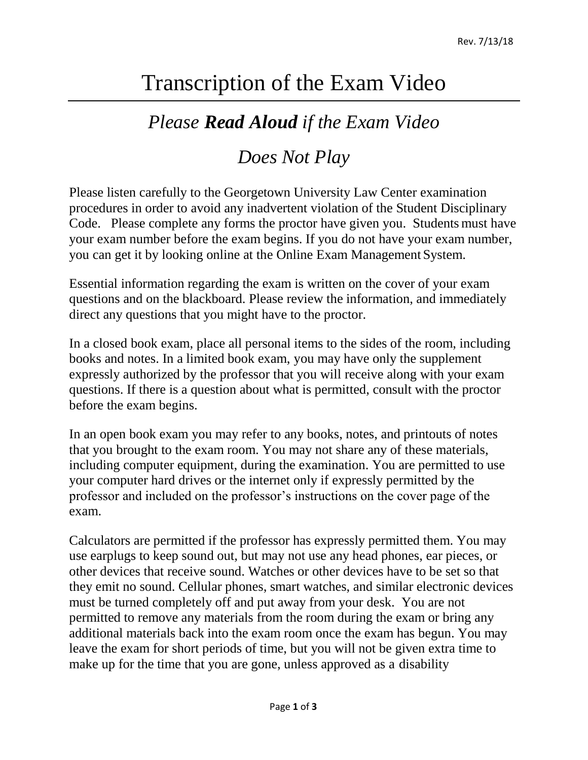## Transcription of the Exam Video

## *Please Read Aloud if the Exam Video*

## *Does Not Play*

Please listen carefully to the Georgetown University Law Center examination procedures in order to avoid any inadvertent violation of the Student Disciplinary Code. Please complete any forms the proctor have given you. Students must have your exam number before the exam begins. If you do not have your exam number, you can get it by looking online at the Online Exam Management System.

Essential information regarding the exam is written on the cover of your exam questions and on the blackboard. Please review the information, and immediately direct any questions that you might have to the proctor.

In a closed book exam, place all personal items to the sides of the room, including books and notes. In a limited book exam, you may have only the supplement expressly authorized by the professor that you will receive along with your exam questions. If there is a question about what is permitted, consult with the proctor before the exam begins.

In an open book exam you may refer to any books, notes, and printouts of notes that you brought to the exam room. You may not share any of these materials, including computer equipment, during the examination. You are permitted to use your computer hard drives or the internet only if expressly permitted by the professor and included on the professor's instructions on the cover page of the exam.

Calculators are permitted if the professor has expressly permitted them. You may use earplugs to keep sound out, but may not use any head phones, ear pieces, or other devices that receive sound. Watches or other devices have to be set so that they emit no sound. Cellular phones, smart watches, and similar electronic devices must be turned completely off and put away from your desk. You are not permitted to remove any materials from the room during the exam or bring any additional materials back into the exam room once the exam has begun. You may leave the exam for short periods of time, but you will not be given extra time to make up for the time that you are gone, unless approved as a disability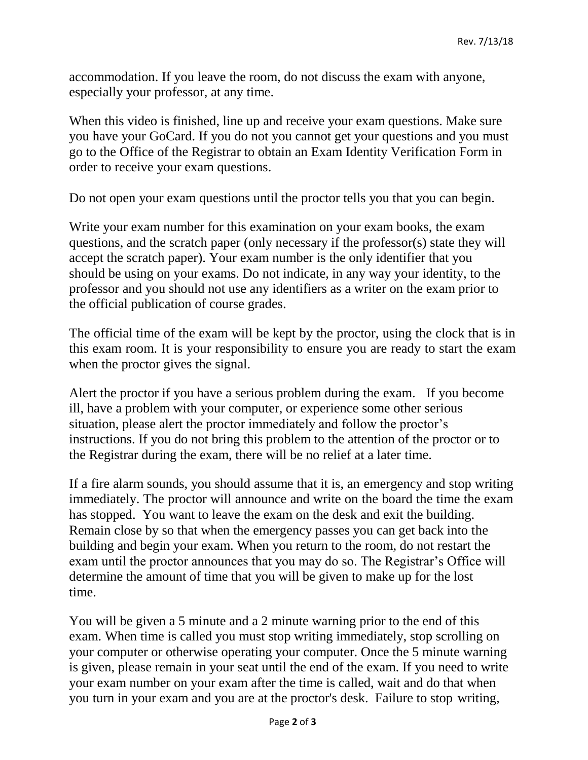accommodation. If you leave the room, do not discuss the exam with anyone, especially your professor, at any time.

When this video is finished, line up and receive your exam questions. Make sure you have your GoCard. If you do not you cannot get your questions and you must go to the Office of the Registrar to obtain an Exam Identity Verification Form in order to receive your exam questions.

Do not open your exam questions until the proctor tells you that you can begin.

Write your exam number for this examination on your exam books, the exam questions, and the scratch paper (only necessary if the professor(s) state they will accept the scratch paper). Your exam number is the only identifier that you should be using on your exams. Do not indicate, in any way your identity, to the professor and you should not use any identifiers as a writer on the exam prior to the official publication of course grades.

The official time of the exam will be kept by the proctor, using the clock that is in this exam room. It is your responsibility to ensure you are ready to start the exam when the proctor gives the signal.

Alert the proctor if you have a serious problem during the exam. If you become ill, have a problem with your computer, or experience some other serious situation, please alert the proctor immediately and follow the proctor's instructions. If you do not bring this problem to the attention of the proctor or to the Registrar during the exam, there will be no relief at a later time.

If a fire alarm sounds, you should assume that it is, an emergency and stop writing immediately. The proctor will announce and write on the board the time the exam has stopped. You want to leave the exam on the desk and exit the building. Remain close by so that when the emergency passes you can get back into the building and begin your exam. When you return to the room, do not restart the exam until the proctor announces that you may do so. The Registrar's Office will determine the amount of time that you will be given to make up for the lost time.

You will be given a 5 minute and a 2 minute warning prior to the end of this exam. When time is called you must stop writing immediately, stop scrolling on your computer or otherwise operating your computer. Once the 5 minute warning is given, please remain in your seat until the end of the exam. If you need to write your exam number on your exam after the time is called, wait and do that when you turn in your exam and you are at the proctor's desk. Failure to stop writing,